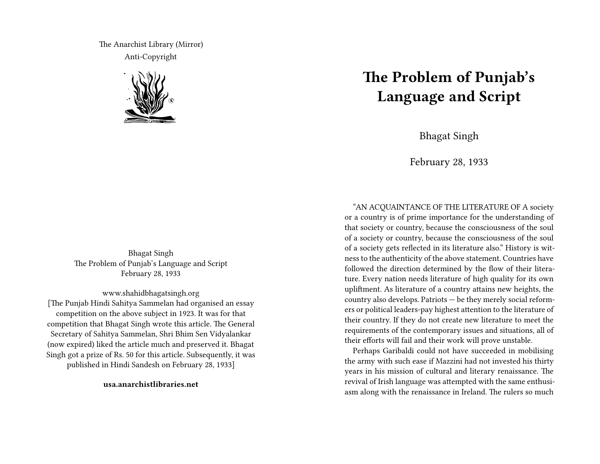The Anarchist Library (Mirror) Anti-Copyright



Bhagat Singh The Problem of Punjab's Language and Script February 28, 1933

www.shahidbhagatsingh.org [The Punjab Hindi Sahitya Sammelan had organised an essay competition on the above subject in 1923. It was for that competition that Bhagat Singh wrote this article. The General Secretary of Sahitya Sammelan, Shri Bhim Sen Vidyalankar (now expired) liked the article much and preserved it. Bhagat

Singh got a prize of Rs. 50 for this article. Subsequently, it was published in Hindi Sandesh on February 28, 1933]

**usa.anarchistlibraries.net**

# **The Problem of Punjab's Language and Script**

Bhagat Singh

February 28, 1933

"AN ACQUAINTANCE OF THE LITERATURE OF A society or a country is of prime importance for the understanding of that society or country, because the consciousness of the soul of a society or country, because the consciousness of the soul of a society gets reflected in its literature also." History is witness to the authenticity of the above statement. Countries have followed the direction determined by the flow of their literature. Every nation needs literature of high quality for its own upliftment. As literature of a country attains new heights, the country also develops. Patriots — be they merely social reformers or political leaders-pay highest attention to the literature of their country. If they do not create new literature to meet the requirements of the contemporary issues and situations, all of their efforts will fail and their work will prove unstable.

Perhaps Garibaldi could not have succeeded in mobilising the army with such ease if Mazzini had not invested his thirty years in his mission of cultural and literary renaissance. The revival of Irish language was attempted with the same enthusiasm along with the renaissance in Ireland. The rulers so much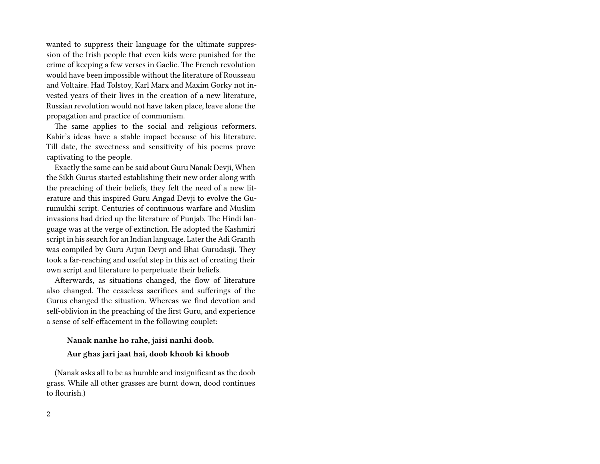wanted to suppress their language for the ultimate suppression of the Irish people that even kids were punished for the crime of keeping a few verses in Gaelic. The French revolution would have been impossible without the literature of Rousseau and Voltaire. Had Tolstoy, Karl Marx and Maxim Gorky not invested years of their lives in the creation of a new literature, Russian revolution would not have taken place, leave alone the propagation and practice of communism.

The same applies to the social and religious reformers. Kabir's ideas have a stable impact because of his literature. Till date, the sweetness and sensitivity of his poems prove captivating to the people.

Exactly the same can be said about Guru Nanak Devji, When the Sikh Gurus started establishing their new order along with the preaching of their beliefs, they felt the need of a new literature and this inspired Guru Angad Devji to evolve the Gurumukhi script. Centuries of continuous warfare and Muslim invasions had dried up the literature of Punjab. The Hindi language was at the verge of extinction. He adopted the Kashmiri script in his search for an Indian language. Later the Adi Granth was compiled by Guru Arjun Devji and Bhai Gurudasji. They took a far-reaching and useful step in this act of creating their own script and literature to perpetuate their beliefs.

Afterwards, as situations changed, the flow of literature also changed. The ceaseless sacrifices and sufferings of the Gurus changed the situation. Whereas we find devotion and self-oblivion in the preaching of the first Guru, and experience a sense of self-effacement in the following couplet:

## **Nanak nanhe ho rahe, jaisi nanhi doob. Aur ghas jari jaat hai, doob khoob ki khoob**

(Nanak asks all to be as humble and insignificant as the doob grass. While all other grasses are burnt down, dood continues to flourish.)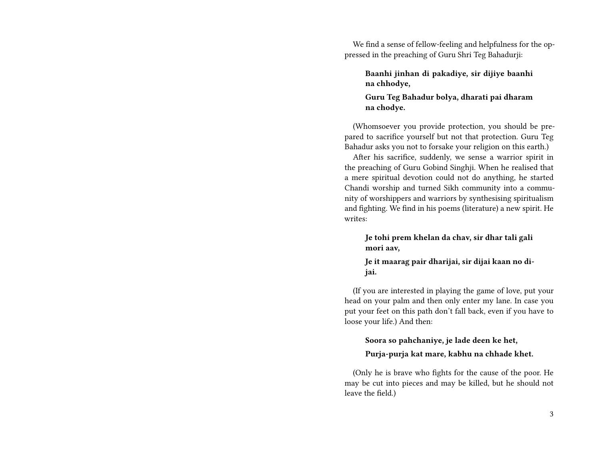We find a sense of fellow-feeling and helpfulness for the oppressed in the preaching of Guru Shri Teg Bahadurji:

**Baanhi jinhan di pakadiye, sir dijiye baanhi na chhodye,**

**Guru Teg Bahadur bolya, dharati pai dharam na chodye.**

(Whomsoever you provide protection, you should be prepared to sacrifice yourself but not that protection. Guru Teg Bahadur asks you not to forsake your religion on this earth.)

After his sacrifice, suddenly, we sense a warrior spirit in the preaching of Guru Gobind Singhji. When he realised that a mere spiritual devotion could not do anything, he started Chandi worship and turned Sikh community into a community of worshippers and warriors by synthesising spiritualism and fighting. We find in his poems (literature) a new spirit. He writes:

**Je tohi prem khelan da chav, sir dhar tali gali mori aav,**

**Je it maarag pair dharijai, sir dijai kaan no dijai.**

(If you are interested in playing the game of love, put your head on your palm and then only enter my lane. In case you put your feet on this path don't fall back, even if you have to loose your life.) And then:

### **Soora so pahchaniye, je lade deen ke het,**

#### **Purja-purja kat mare, kabhu na chhade khet.**

(Only he is brave who fights for the cause of the poor. He may be cut into pieces and may be killed, but he should not leave the field.)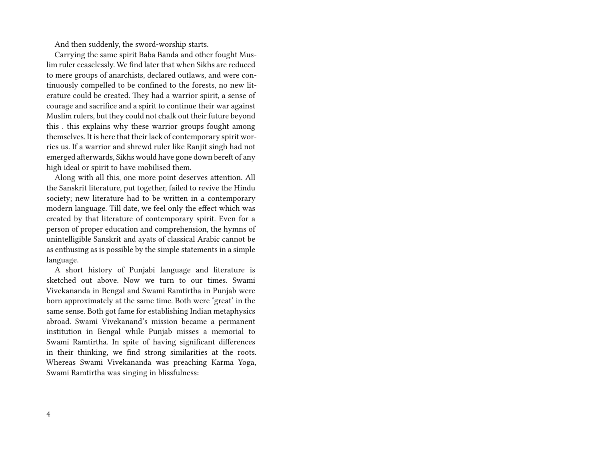And then suddenly, the sword-worship starts.

Carrying the same spirit Baba Banda and other fought Muslim ruler ceaselessly. We find later that when Sikhs are reduced to mere groups of anarchists, declared outlaws, and were continuously compelled to be confined to the forests, no new literature could be created. They had a warrior spirit, a sense of courage and sacrifice and a spirit to continue their war against Muslim rulers, but they could not chalk out their future beyond this . this explains why these warrior groups fought among themselves. It is here that their lack of contemporary spirit worries us. If a warrior and shrewd ruler like Ranjit singh had not emerged afterwards, Sikhs would have gone down bereft of any high ideal or spirit to have mobilised them.

Along with all this, one more point deserves attention. All the Sanskrit literature, put together, failed to revive the Hindu society; new literature had to be written in a contemporary modern language. Till date, we feel only the effect which was created by that literature of contemporary spirit. Even for a person of proper education and comprehension, the hymns of unintelligible Sanskrit and ayats of classical Arabic cannot be as enthusing as is possible by the simple statements in a simple language.

A short history of Punjabi language and literature is sketched out above. Now we turn to our times. Swami Vivekananda in Bengal and Swami Ramtirtha in Punjab were born approximately at the same time. Both were 'great' in the same sense. Both got fame for establishing Indian metaphysics abroad. Swami Vivekanand's mission became a permanent institution in Bengal while Punjab misses a memorial to Swami Ramtirtha. In spite of having significant differences in their thinking, we find strong similarities at the roots. Whereas Swami Vivekananda was preaching Karma Yoga, Swami Ramtirtha was singing in blissfulness: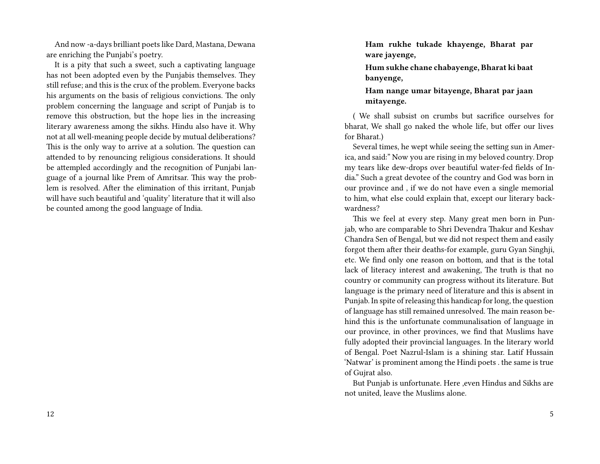And now -a-days brilliant poets like Dard, Mastana, Dewana are enriching the Punjabi's poetry.

It is a pity that such a sweet, such a captivating language has not been adopted even by the Punjabis themselves. They still refuse; and this is the crux of the problem. Everyone backs his arguments on the basis of religious convictions. The only problem concerning the language and script of Punjab is to remove this obstruction, but the hope lies in the increasing literary awareness among the sikhs. Hindu also have it. Why not at all well-meaning people decide by mutual deliberations? This is the only way to arrive at a solution. The question can attended to by renouncing religious considerations. It should be attempled accordingly and the recognition of Punjabi language of a journal like Prem of Amritsar. This way the problem is resolved. After the elimination of this irritant, Punjab will have such beautiful and 'quality' literature that it will also be counted among the good language of India.

**Ham rukhe tukade khayenge, Bharat par ware jayenge,**

**Hum sukhe chane chabayenge, Bharat ki baat banyenge,**

**Ham nange umar bitayenge, Bharat par jaan mitayenge.**

( We shall subsist on crumbs but sacrifice ourselves for bharat, We shall go naked the whole life, but offer our lives for Bharat.)

Several times, he wept while seeing the setting sun in America, and said:" Now you are rising in my beloved country. Drop my tears like dew-drops over beautiful water-fed fields of India." Such a great devotee of the country and God was born in our province and , if we do not have even a single memorial to him, what else could explain that, except our literary backwardness?

This we feel at every step. Many great men born in Punjab, who are comparable to Shri Devendra Thakur and Keshav Chandra Sen of Bengal, but we did not respect them and easily forgot them after their deaths-for example, guru Gyan Singhji, etc. We find only one reason on bottom, and that is the total lack of literacy interest and awakening, The truth is that no country or community can progress without its literature. But language is the primary need of literature and this is absent in Punjab. In spite of releasing this handicap for long, the question of language has still remained unresolved. The main reason behind this is the unfortunate communalisation of language in our province, in other provinces, we find that Muslims have fully adopted their provincial languages. In the literary world of Bengal. Poet Nazrul-Islam is a shining star. Latif Hussain 'Natwar' is prominent among the Hindi poets . the same is true of Gujrat also.

But Punjab is unfortunate. Here ,even Hindus and Sikhs are not united, leave the Muslims alone.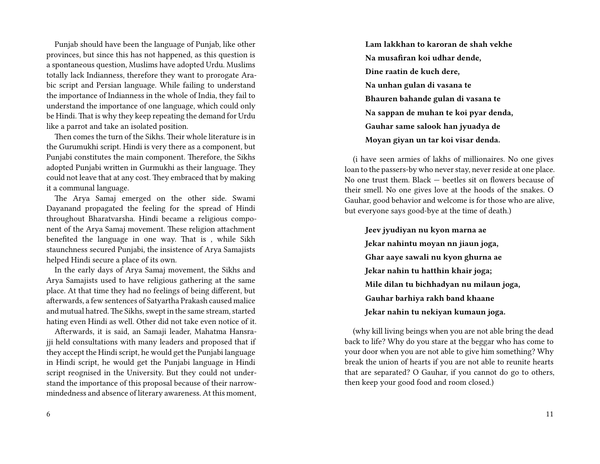Punjab should have been the language of Punjab, like other provinces, but since this has not happened, as this question is a spontaneous question, Muslims have adopted Urdu. Muslims totally lack Indianness, therefore they want to prorogate Arabic script and Persian language. While failing to understand the importance of Indianness in the whole of India, they fail to understand the importance of one language, which could only be Hindi. That is why they keep repeating the demand for Urdu like a parrot and take an isolated position.

Then comes the turn of the Sikhs. Their whole literature is in the Gurumukhi script. Hindi is very there as a component, but Punjabi constitutes the main component. Therefore, the Sikhs adopted Punjabi written in Gurmukhi as their language. They could not leave that at any cost. They embraced that by making it a communal language.

The Arya Samaj emerged on the other side. Swami Dayanand propagated the feeling for the spread of Hindi throughout Bharatvarsha. Hindi became a religious component of the Arya Samaj movement. These religion attachment benefited the language in one way. That is , while Sikh staunchness secured Punjabi, the insistence of Arya Samajists helped Hindi secure a place of its own.

In the early days of Arya Samaj movement, the Sikhs and Arya Samajists used to have religious gathering at the same place. At that time they had no feelings of being different, but afterwards, a few sentences of Satyartha Prakash caused malice and mutual hatred. The Sikhs, swept in the same stream, started hating even Hindi as well. Other did not take even notice of it.

Afterwards, it is said, an Samaji leader, Mahatma Hansrajji held consultations with many leaders and proposed that if they accept the Hindi script, he would get the Punjabi language in Hindi script, he would get the Punjabi language in Hindi script reognised in the University. But they could not understand the importance of this proposal because of their narrowmindedness and absence of literary awareness. At this moment, **Lam lakkhan to karoran de shah vekhe Na musafiran koi udhar dende, Dine raatin de kuch dere, Na unhan gulan di vasana te Bhauren bahande gulan di vasana te Na sappan de muhan te koi pyar denda, Gauhar same salook han jyuadya de Moyan giyan un tar koi visar denda.**

(i have seen armies of lakhs of millionaires. No one gives loan to the passers-by who never stay, never reside at one place. No one trust them. Black — beetles sit on flowers because of their smell. No one gives love at the hoods of the snakes. O Gauhar, good behavior and welcome is for those who are alive, but everyone says good-bye at the time of death.)

**Jeev jyudiyan nu kyon marna ae Jekar nahintu moyan nn jiaun joga, Ghar aaye sawali nu kyon ghurna ae Jekar nahin tu hatthin khair joga; Mile dilan tu bichhadyan nu milaun joga, Gauhar barhiya rakh band khaane Jekar nahin tu nekiyan kumaun joga.**

(why kill living beings when you are not able bring the dead back to life? Why do you stare at the beggar who has come to your door when you are not able to give him something? Why break the union of hearts if you are not able to reunite hearts that are separated? O Gauhar, if you cannot do go to others, then keep your good food and room closed.)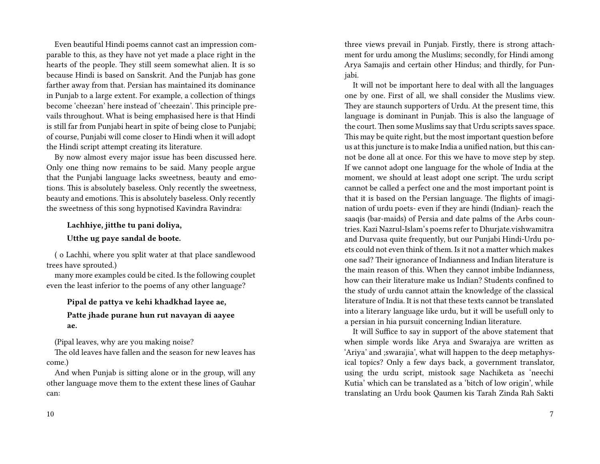Even beautiful Hindi poems cannot cast an impression comparable to this, as they have not yet made a place right in the hearts of the people. They still seem somewhat alien. It is so because Hindi is based on Sanskrit. And the Punjab has gone farther away from that. Persian has maintained its dominance in Punjab to a large extent. For example, a collection of things become 'cheezan' here instead of 'cheezain'. This principle prevails throughout. What is being emphasised here is that Hindi is still far from Punjabi heart in spite of being close to Punjabi; of course, Punjabi will come closer to Hindi when it will adopt the Hindi script attempt creating its literature.

By now almost every major issue has been discussed here. Only one thing now remains to be said. Many people argue that the Punjabi language lacks sweetness, beauty and emotions. This is absolutely baseless. Only recently the sweetness, beauty and emotions. This is absolutely baseless. Only recently the sweetness of this song hypnotised Kavindra Ravindra:

## **Lachhiye, jitthe tu pani doliya, Utthe ug paye sandal de boote.**

( o Lachhi, where you split water at that place sandlewood trees have sprouted.)

many more examples could be cited. Is the following couplet even the least inferior to the poems of any other language?

#### **Pipal de pattya ve kehi khadkhad layee ae,**

#### **Patte jhade purane hun rut navayan di aayee ae.**

(Pipal leaves, why are you making noise?

The old leaves have fallen and the season for new leaves has come.)

And when Punjab is sitting alone or in the group, will any other language move them to the extent these lines of Gauhar can:

three views prevail in Punjab. Firstly, there is strong attachment for urdu among the Muslims; secondly, for Hindi among Arya Samajis and certain other Hindus; and thirdly, for Punjabi.

It will not be important here to deal with all the languages one by one. First of all, we shall consider the Muslims view. They are staunch supporters of Urdu. At the present time, this language is dominant in Punjab. This is also the language of the court. Then some Muslims say that Urdu scripts saves space. This may be quite right, but the most important question before us at this juncture is to make India a unified nation, but this cannot be done all at once. For this we have to move step by step. If we cannot adopt one language for the whole of India at the moment, we should at least adopt one script. The urdu script cannot be called a perfect one and the most important point is that it is based on the Persian language. The flights of imagination of urdu poets- even if they are hindi (Indian)- reach the saaqis (bar-maids) of Persia and date palms of the Arbs countries. Kazi Nazrul-Islam's poems refer to Dhurjate.vishwamitra and Durvasa quite frequently, but our Punjabi Hindi-Urdu poets could not even think of them. Is it not a matter which makes one sad? Their ignorance of Indianness and Indian literature is the main reason of this. When they cannot imbibe Indianness, how can their literature make us Indian? Students confined to the study of urdu cannot attain the knowledge of the classical literature of India. It is not that these texts cannot be translated into a literary language like urdu, but it will be usefull only to a persian in hia pursuit concerning Indian literature.

It will Suffice to say in support of the above statement that when simple words like Arya and Swarajya are written as 'Ariya' and ;swarajia', what will happen to the deep metaphysical topics? Only a few days back, a government translator, using the urdu script, mistook sage Nachiketa as 'neechi Kutia' which can be translated as a 'bitch of low origin', while translating an Urdu book Qaumen kis Tarah Zinda Rah Sakti